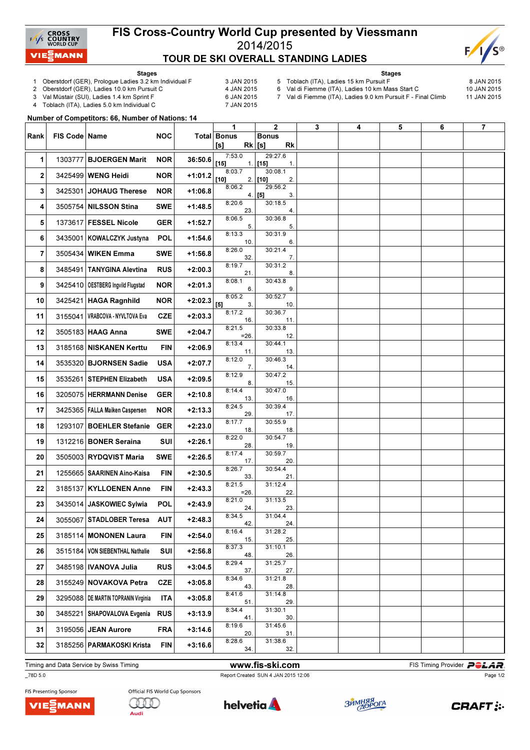

## FIS Cross-Country World Cup presented by Viessmann 2014/2015 TOUR DE SKI OVERALL STANDING LADIES



Stages

- 1 Oberstdorf (GER), Prologue Ladies 3.2 km Individual F 3 JAN 2015<br>2 Oberstdorf (GER), Ladies 10.0 km Pursuit C 4 JAN 2015
	-

2 Oberstdorf (GER), Ladies 10.0 km Pursuit C

- 
- 5 Toblach (ITA), Ladies 15 km Pursuit F 8 JAN 2015 6 Val di Fiemme (ITA), Ladies 10 km Mass Start C

7 Val di Fiemme (ITA), Ladies 9.0 km Pursuit F - Final Climb 11 JAN 2015

Stages

3 Val Müstair (SUI), Ladies 1.4 km Sprint F<br>4 Toblach (ITA), Ladies 5.0 km Individual C 6 7 JAN 2015

Toblach (ITA), Ladies 5.0 km Individual C

Number of Competitors: 66, Number of Nations: 14

| Rank | FIS Code   Name |                                       | <b>NOC</b> |           | 1<br><b>Total Bonus</b>                                                                                                                                                                                                                                                                                                                                                                                                                                                                                                                                                                                                                                                 | $\mathbf{2}$<br><b>Bonus</b>           | 3 | 4 | 5 | 6 | $\overline{7}$ |
|------|-----------------|---------------------------------------|------------|-----------|-------------------------------------------------------------------------------------------------------------------------------------------------------------------------------------------------------------------------------------------------------------------------------------------------------------------------------------------------------------------------------------------------------------------------------------------------------------------------------------------------------------------------------------------------------------------------------------------------------------------------------------------------------------------------|----------------------------------------|---|---|---|---|----------------|
|      |                 |                                       |            |           | $[s] \centering% \includegraphics[width=0.9\columnwidth]{figures/fig_0a}% \includegraphics[width=0.9\columnwidth]{figures/fig_0b}% \includegraphics[width=0.9\columnwidth]{figures/fig_0b}% \includegraphics[width=0.9\columnwidth]{figures/fig_0b}% \includegraphics[width=0.9\columnwidth]{figures/fig_0b}% \includegraphics[width=0.9\columnwidth]{figures/fig_0b}% \includegraphics[width=0.9\columnwidth]{figures/fig_0b}% \includegraphics[width=0.9\columnwidth]{figures/fig_0b}% \includegraphics[width=0.9\columnwidth]{figures/fig_0b}% \includegraphics[width=0.9\columnwidth]{figures/fig_0b}% \includegraphics[width=0.9\columnwidth]{figures$<br>$Rk$ [s] | <b>Rk</b>                              |   |   |   |   |                |
| 1    | 1303777         | <b>BJOERGEN Marit</b>                 | <b>NOR</b> | 36:50.6   | 7:53.0<br>$[15]$                                                                                                                                                                                                                                                                                                                                                                                                                                                                                                                                                                                                                                                        | 29:27.6<br>$1.$ [15]<br>$\mathbf{1}$ . |   |   |   |   |                |
| 2    |                 | 3425499 WENG Heidi                    | <b>NOR</b> | $+1:01.2$ | 8:03.7<br>$[10]$                                                                                                                                                                                                                                                                                                                                                                                                                                                                                                                                                                                                                                                        | 30:08.1<br>2.<br>$2.$ [10]             |   |   |   |   |                |
| 3    |                 | 3425301 JOHAUG Therese                | <b>NOR</b> | $+1:06.8$ | 8:06.2                                                                                                                                                                                                                                                                                                                                                                                                                                                                                                                                                                                                                                                                  | 29:56.2<br>$4.$ [5]<br>3.              |   |   |   |   |                |
| 4    |                 | 3505754 NILSSON Stina                 | <b>SWE</b> | $+1:48.5$ | 8:20.6<br>23.                                                                                                                                                                                                                                                                                                                                                                                                                                                                                                                                                                                                                                                           | 30:18.5<br>4.                          |   |   |   |   |                |
| 5    |                 | 1373617 FESSEL Nicole                 | <b>GER</b> | $+1:52.7$ | 8:06.5<br>5.                                                                                                                                                                                                                                                                                                                                                                                                                                                                                                                                                                                                                                                            | 30:36.8<br>5.                          |   |   |   |   |                |
| 6    |                 | 3435001 KOWALCZYK Justyna             | POL        | $+1:54.6$ | 8:13.3<br>10.                                                                                                                                                                                                                                                                                                                                                                                                                                                                                                                                                                                                                                                           | 30:31.9<br>6.                          |   |   |   |   |                |
| 7    |                 | 3505434 WIKEN Emma                    | <b>SWE</b> | $+1:56.8$ | 8:26.0<br>32.                                                                                                                                                                                                                                                                                                                                                                                                                                                                                                                                                                                                                                                           | 30:21.4<br>7.                          |   |   |   |   |                |
| 8    |                 | 3485491 TANYGINA Alevtina             | <b>RUS</b> | $+2:00.3$ | 8:19.7<br>21.                                                                                                                                                                                                                                                                                                                                                                                                                                                                                                                                                                                                                                                           | 30:31.2<br>8.                          |   |   |   |   |                |
| 9    |                 | 3425410   OESTBERG Ingvild Flugstad   | <b>NOR</b> | $+2:01.3$ | 8:08.1<br>6.                                                                                                                                                                                                                                                                                                                                                                                                                                                                                                                                                                                                                                                            | 30:43.8<br>9.                          |   |   |   |   |                |
| 10   |                 | 3425421 HAGA Ragnhild                 | <b>NOR</b> | $+2:02.3$ | 8:05.2<br>$[5]$<br>3.                                                                                                                                                                                                                                                                                                                                                                                                                                                                                                                                                                                                                                                   | 30:52.7<br>10.                         |   |   |   |   |                |
| 11   |                 | 3155041   VRABCOVA - NYVLTOVA Eva     | <b>CZE</b> | $+2:03.3$ | 8:17.2<br>16.                                                                                                                                                                                                                                                                                                                                                                                                                                                                                                                                                                                                                                                           | 30:36.7<br>11.                         |   |   |   |   |                |
| 12   |                 | 3505183 HAAG Anna                     | <b>SWE</b> | $+2:04.7$ | 8:21.5<br>$=26$ .                                                                                                                                                                                                                                                                                                                                                                                                                                                                                                                                                                                                                                                       | 30:33.8<br>12.                         |   |   |   |   |                |
| 13   |                 | 3185168 NISKANEN Kerttu               | <b>FIN</b> | $+2:06.9$ | 8:13.4<br>11.                                                                                                                                                                                                                                                                                                                                                                                                                                                                                                                                                                                                                                                           | 30:44.1<br>13.                         |   |   |   |   |                |
| 14   |                 | 3535320   BJORNSEN Sadie              | <b>USA</b> | $+2:07.7$ | 8:12.0<br>7.                                                                                                                                                                                                                                                                                                                                                                                                                                                                                                                                                                                                                                                            | 30:46.3<br>14.                         |   |   |   |   |                |
| 15   |                 | 3535261 STEPHEN Elizabeth             | <b>USA</b> | $+2:09.5$ | 8:12.9<br>8.                                                                                                                                                                                                                                                                                                                                                                                                                                                                                                                                                                                                                                                            | 30:47.2<br>15.                         |   |   |   |   |                |
| 16   |                 | 3205075 HERRMANN Denise               | <b>GER</b> | $+2:10.8$ | 8:14.4<br>13.                                                                                                                                                                                                                                                                                                                                                                                                                                                                                                                                                                                                                                                           | 30:47.0<br>16.                         |   |   |   |   |                |
| 17   |                 | 3425365   FALLA Maiken Caspersen      | <b>NOR</b> | $+2:13.3$ | 8:24.5<br>29.                                                                                                                                                                                                                                                                                                                                                                                                                                                                                                                                                                                                                                                           | 30:39.4<br>17.                         |   |   |   |   |                |
| 18   |                 | 1293107 BOEHLER Stefanie              | <b>GER</b> | $+2:23.0$ | 8:17.7<br>18.                                                                                                                                                                                                                                                                                                                                                                                                                                                                                                                                                                                                                                                           | 30:55.9<br>18.                         |   |   |   |   |                |
| 19   |                 | 1312216 BONER Seraina                 | SUI        | $+2:26.1$ | 8:22.0<br>28.                                                                                                                                                                                                                                                                                                                                                                                                                                                                                                                                                                                                                                                           | 30:54.7<br>19.                         |   |   |   |   |                |
| 20   |                 | 3505003 RYDQVIST Maria                | <b>SWE</b> | $+2:26.5$ | 8:17.4<br>17.                                                                                                                                                                                                                                                                                                                                                                                                                                                                                                                                                                                                                                                           | 30:59.7<br>20.                         |   |   |   |   |                |
| 21   |                 | 1255665   SAARINEN Aino-Kaisa         | <b>FIN</b> | $+2:30.5$ | 8:26.7<br>33.                                                                                                                                                                                                                                                                                                                                                                                                                                                                                                                                                                                                                                                           | 30:54.4<br>21.                         |   |   |   |   |                |
| 22   |                 | 3185137 KYLLOENEN Anne                | <b>FIN</b> | $+2:43.3$ | 8:21.5<br>$=26$ .                                                                                                                                                                                                                                                                                                                                                                                                                                                                                                                                                                                                                                                       | 31:12.4<br>22.                         |   |   |   |   |                |
| 23   |                 | 3435014 JASKOWIEC Sylwia              | <b>POL</b> | $+2:43.9$ | 8:21.0<br>24.                                                                                                                                                                                                                                                                                                                                                                                                                                                                                                                                                                                                                                                           | 31:13.5<br>23.                         |   |   |   |   |                |
| 24   |                 | 3055067 STADLOBER Teresa              | <b>AUT</b> | $+2:48.3$ | 8:34.5<br>42.                                                                                                                                                                                                                                                                                                                                                                                                                                                                                                                                                                                                                                                           | 31:04.4<br>24.                         |   |   |   |   |                |
| 25   |                 | 3185114 MONONEN Laura                 | <b>FIN</b> | $+2:54.0$ | 8:16.4<br>15.                                                                                                                                                                                                                                                                                                                                                                                                                                                                                                                                                                                                                                                           | 31:28.2<br>25.                         |   |   |   |   |                |
| 26   |                 | 3515184 VON SIEBENTHAL Nathalie       | SUI        | $+2:56.8$ | 8:37.3<br>48.                                                                                                                                                                                                                                                                                                                                                                                                                                                                                                                                                                                                                                                           | 31:10.1<br>26.                         |   |   |   |   |                |
| 27   |                 | 3485198   IVANOVA Julia               | <b>RUS</b> | $+3:04.5$ | 8:29.4<br>37.                                                                                                                                                                                                                                                                                                                                                                                                                                                                                                                                                                                                                                                           | 31:25.7<br>27.                         |   |   |   |   |                |
| 28   |                 | 3155249 NOVAKOVA Petra                | <b>CZE</b> | $+3:05.8$ | 8:34.6<br>43.                                                                                                                                                                                                                                                                                                                                                                                                                                                                                                                                                                                                                                                           | 31:21.8<br>28.                         |   |   |   |   |                |
| 29   |                 | 3295088   DE MARTIN TOPRANIN Virginia | <b>ITA</b> | $+3:05.8$ | 8:41.6<br>51.                                                                                                                                                                                                                                                                                                                                                                                                                                                                                                                                                                                                                                                           | 31:14.8<br>29.                         |   |   |   |   |                |
| 30   |                 | 3485221   SHAPOVALOVA Evgenia         | <b>RUS</b> | $+3:13.9$ | 8:34.4<br>41.                                                                                                                                                                                                                                                                                                                                                                                                                                                                                                                                                                                                                                                           | 31:30.1<br>30.                         |   |   |   |   |                |
| 31   |                 | 3195056 JEAN Aurore                   | <b>FRA</b> | $+3:14.6$ | 8:19.6<br>20.                                                                                                                                                                                                                                                                                                                                                                                                                                                                                                                                                                                                                                                           | 31:45.6<br>31.                         |   |   |   |   |                |
| 32   |                 | 3185256 PARMAKOSKI Krista             | <b>FIN</b> | $+3:16.6$ | 8:28.6<br>34.                                                                                                                                                                                                                                                                                                                                                                                                                                                                                                                                                                                                                                                           | 31:38.6<br>32.                         |   |   |   |   |                |

Timing and Data Service by Swiss Timing **Example 20 and Service of Service Constant Constant Provider PCLAR** 

\_78D 5.0 Report Created SUN 4 JAN 2015 12:06

Page 1/2